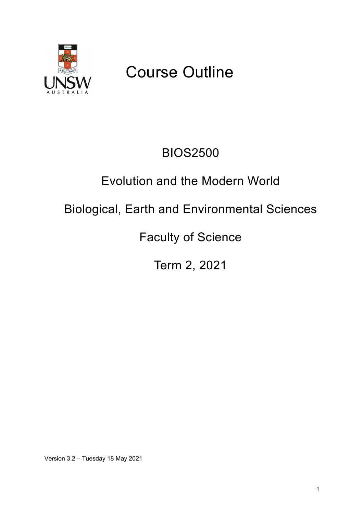

# Course Outline

# BIOS2500

# Evolution and the Modern World

# Biological, Earth and Environmental Sciences

Faculty of Science

Term 2, 2021

Version 3.2 – Tuesday 18 May 2021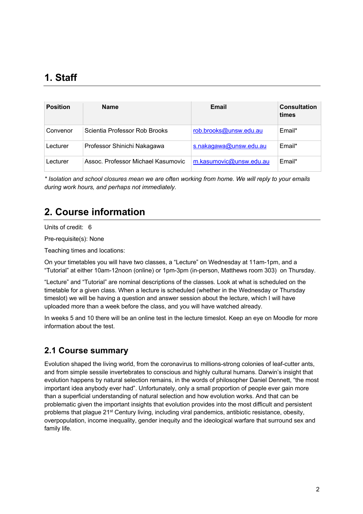# **1. Staff**

| <b>Position</b> | <b>Name</b>                        | Email                   | <b>Consultation</b><br>times |
|-----------------|------------------------------------|-------------------------|------------------------------|
| Convenor        | Scientia Professor Rob Brooks      | rob.brooks@unsw.edu.au  | Email*                       |
| Lecturer        | Professor Shinichi Nakagawa        | s.nakagawa@unsw.edu.au  | Email*                       |
| Lecturer        | Assoc. Professor Michael Kasumovic | m.kasumovic@unsw.edu.au | Email*                       |

*\* Isolation and school closures mean we are often working from home. We will reply to your emails during work hours, and perhaps not immediately.*

# **2. Course information**

Units of credit: 6

Pre-requisite(s): None

Teaching times and locations:

On your timetables you will have two classes, a "Lecture" on Wednesday at 11am-1pm, and a "Tutorial" at either 10am-12noon (online) or 1pm-3pm (in-person, Matthews room 303) on Thursday.

"Lecture" and "Tutorial" are nominal descriptions of the classes. Look at what is scheduled on the timetable for a given class. When a lecture is scheduled (whether in the Wednesday or Thursday timeslot) we will be having a question and answer session about the lecture, which I will have uploaded more than a week before the class, and you will have watched already.

In weeks 5 and 10 there will be an online test in the lecture timeslot. Keep an eye on Moodle for more information about the test.

## **2.1 Course summary**

Evolution shaped the living world, from the coronavirus to millions-strong colonies of leaf-cutter ants, and from simple sessile invertebrates to conscious and highly cultural humans. Darwin's insight that evolution happens by natural selection remains, in the words of philosopher Daniel Dennett, "the most important idea anybody ever had". Unfortunately, only a small proportion of people ever gain more than a superficial understanding of natural selection and how evolution works. And that can be problematic given the important insights that evolution provides into the most difficult and persistent problems that plague 21<sup>st</sup> Century living, including viral pandemics, antibiotic resistance, obesity, overpopulation, income inequality, gender inequity and the ideological warfare that surround sex and family life.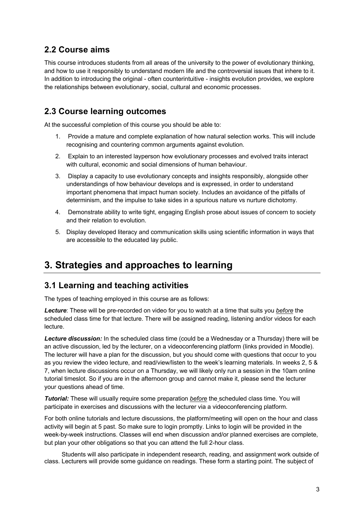## **2.2 Course aims**

This course introduces students from all areas of the university to the power of evolutionary thinking, and how to use it responsibly to understand modern life and the controversial issues that inhere to it. In addition to introducing the original - often counterintuitive - insights evolution provides, we explore the relationships between evolutionary, social, cultural and economic processes.

## **2.3 Course learning outcomes**

At the successful completion of this course you should be able to:

- 1. Provide a mature and complete explanation of how natural selection works. This will include recognising and countering common arguments against evolution.
- 2. Explain to an interested layperson how evolutionary processes and evolved traits interact with cultural, economic and social dimensions of human behaviour.
- 3. Display a capacity to use evolutionary concepts and insights responsibly, alongside other understandings of how behaviour develops and is expressed, in order to understand important phenomena that impact human society. Includes an avoidance of the pitfalls of determinism, and the impulse to take sides in a spurious nature vs nurture dichotomy.
- 4. Demonstrate ability to write tight, engaging English prose about issues of concern to society and their relation to evolution.
- 5. Display developed literacy and communication skills using scientific information in ways that are accessible to the educated lay public.

## **3. Strategies and approaches to learning**

## **3.1 Learning and teaching activities**

The types of teaching employed in this course are as follows:

*Lecture*: These will be pre-recorded on video for you to watch at a time that suits you *before* the scheduled class time for that lecture. There will be assigned reading, listening and/or videos for each lecture.

*Lecture discussion:* In the scheduled class time (could be a Wednesday or a Thursday) there will be an active discussion, led by the lecturer, on a videoconferencing platform (links provided in Moodle). The lecturer will have a plan for the discussion, but you should come with questions that occur to you as you review the video lecture, and read/view/listen to the week's learning materials. In weeks 2, 5 & 7, when lecture discussions occur on a Thursday, we will likely only run a session in the 10am online tutorial timeslot. So if you are in the afternoon group and cannot make it, please send the lecturer your questions ahead of time.

*Tutorial:* These will usually require some preparation *before* the scheduled class time. You will participate in exercises and discussions with the lecturer via a videoconferencing platform.

For both online tutorials and lecture discussions, the platform/meeting will open on the hour and class activity will begin at 5 past. So make sure to login promptly. Links to login will be provided in the week-by-week instructions. Classes will end when discussion and/or planned exercises are complete, but plan your other obligations so that you can attend the full 2-hour class.

Students will also participate in independent research, reading, and assignment work outside of class. Lecturers will provide some guidance on readings. These form a starting point. The subject of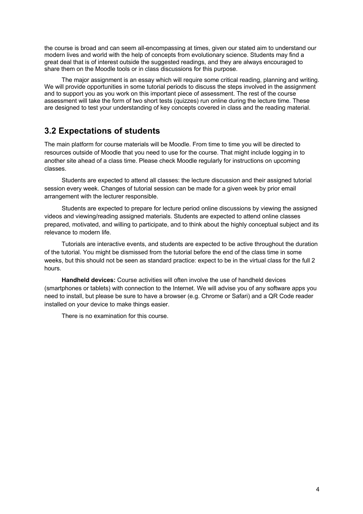the course is broad and can seem all-encompassing at times, given our stated aim to understand our modern lives and world with the help of concepts from evolutionary science. Students may find a great deal that is of interest outside the suggested readings, and they are always encouraged to share them on the Moodle tools or in class discussions for this purpose.

The major assignment is an essay which will require some critical reading, planning and writing. We will provide opportunities in some tutorial periods to discuss the steps involved in the assignment and to support you as you work on this important piece of assessment. The rest of the course assessment will take the form of two short tests (quizzes) run online during the lecture time. These are designed to test your understanding of key concepts covered in class and the reading material.

### **3.2 Expectations of students**

The main platform for course materials will be Moodle. From time to time you will be directed to resources outside of Moodle that you need to use for the course. That might include logging in to another site ahead of a class time. Please check Moodle regularly for instructions on upcoming classes.

Students are expected to attend all classes: the lecture discussion and their assigned tutorial session every week. Changes of tutorial session can be made for a given week by prior email arrangement with the lecturer responsible.

Students are expected to prepare for lecture period online discussions by viewing the assigned videos and viewing/reading assigned materials. Students are expected to attend online classes prepared, motivated, and willing to participate, and to think about the highly conceptual subject and its relevance to modern life.

Tutorials are interactive events, and students are expected to be active throughout the duration of the tutorial. You might be dismissed from the tutorial before the end of the class time in some weeks, but this should not be seen as standard practice: expect to be in the virtual class for the full 2 hours.

**Handheld devices:** Course activities will often involve the use of handheld devices (smartphones or tablets) with connection to the Internet. We will advise you of any software apps you need to install, but please be sure to have a browser (e.g. Chrome or Safari) and a QR Code reader installed on your device to make things easier.

There is no examination for this course.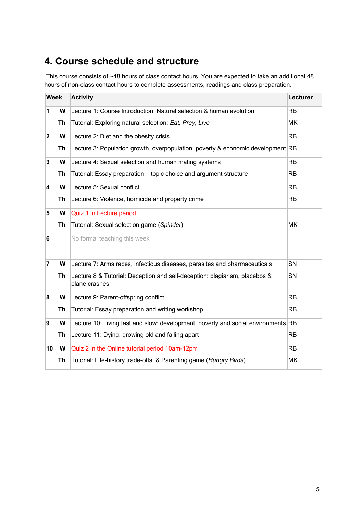# **4. Course schedule and structure**

This course consists of ~48 hours of class contact hours. You are expected to take an additional 48 hours of non-class contact hours to complete assessments, readings and class preparation.

| <b>Week</b>             |           | <b>Activity</b>                                                                             | Lecturer  |
|-------------------------|-----------|---------------------------------------------------------------------------------------------|-----------|
| 1                       | W         | Lecture 1: Course Introduction; Natural selection & human evolution                         | <b>RB</b> |
|                         | Th        | Tutorial: Exploring natural selection: Eat, Prey, Live                                      | MK        |
| $\overline{\mathbf{2}}$ | W         | Lecture 2: Diet and the obesity crisis                                                      | <b>RB</b> |
|                         | Th        | Lecture 3: Population growth, overpopulation, poverty & economic development RB             |           |
| 3                       | W         | Lecture 4: Sexual selection and human mating systems                                        | <b>RB</b> |
|                         | Th        | Tutorial: Essay preparation – topic choice and argument structure                           | RB        |
| $\overline{\mathbf{4}}$ | W         | Lecture 5: Sexual conflict                                                                  | <b>RB</b> |
|                         | Th        | Lecture 6: Violence, homicide and property crime                                            | <b>RB</b> |
| 5                       | W         | Quiz 1 in Lecture period                                                                    |           |
|                         | Th        | Tutorial: Sexual selection game (Spinder)                                                   | MK        |
| 6                       |           | No formal teaching this week                                                                |           |
| $\overline{7}$          | W         | Lecture 7: Arms races, infectious diseases, parasites and pharmaceuticals                   | <b>SN</b> |
|                         | Th        | Lecture 8 & Tutorial: Deception and self-deception: plagiarism, placebos &<br>plane crashes | SN        |
| 8                       | W         | Lecture 9: Parent-offspring conflict                                                        | RB        |
|                         | <b>Th</b> | Tutorial: Essay preparation and writing workshop                                            | <b>RB</b> |
| 9                       | W         | Lecture 10: Living fast and slow: development, poverty and social environments RB           |           |
|                         | <b>Th</b> | Lecture 11: Dying, growing old and falling apart                                            | <b>RB</b> |
| 10                      | W         | Quiz 2 in the Online tutorial period 10am-12pm                                              | <b>RB</b> |
|                         | Th        | Tutorial: Life-history trade-offs, & Parenting game (Hungry Birds).                         | MK        |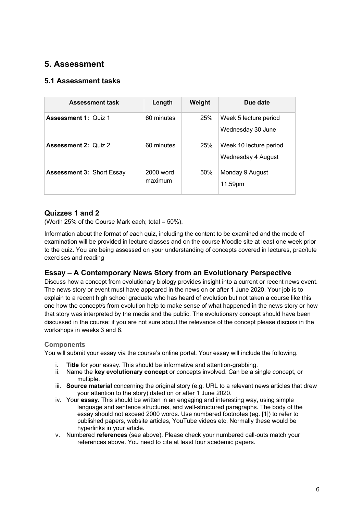## **5. Assessment**

#### **5.1 Assessment tasks**

| <b>Assessment task</b>           | Length                 | Weight     | Due date                                     |
|----------------------------------|------------------------|------------|----------------------------------------------|
| <b>Assessment 1: Quiz 1</b>      | 60 minutes             | <b>25%</b> | Week 5 lecture period<br>Wednesday 30 June   |
| <b>Assessment 2: Quiz 2</b>      | 60 minutes             | <b>25%</b> | Week 10 lecture period<br>Wednesday 4 August |
| <b>Assessment 3: Short Essay</b> | $2000$ word<br>maximum | 50%        | Monday 9 August<br>11.59pm                   |

#### **Quizzes 1 and 2**

(Worth 25% of the Course Mark each; total =  $50\%$ ).

Information about the format of each quiz, including the content to be examined and the mode of examination will be provided in lecture classes and on the course Moodle site at least one week prior to the quiz. You are being assessed on your understanding of concepts covered in lectures, prac/tute exercises and reading

#### **Essay – A Contemporary News Story from an Evolutionary Perspective**

Discuss how a concept from evolutionary biology provides insight into a current or recent news event. The news story or event must have appeared in the news on or after 1 June 2020. Your job is to explain to a recent high school graduate who has heard of evolution but not taken a course like this one how the concept/s from evolution help to make sense of what happened in the news story or how that story was interpreted by the media and the public. The evolutionary concept should have been discussed in the course; if you are not sure about the relevance of the concept please discuss in the workshops in weeks 3 and 8.

#### **Components**

You will submit your essay via the course's online portal. Your essay will include the following.

- **Title** for your essay. This should be informative and attention-grabbing.
- ii. Name the **key evolutionary concept** or concepts involved. Can be a single concept, or multiple.
- iii. **Source material** concerning the original story (e.g. URL to a relevant news articles that drew your attention to the story) dated on or after 1 June 2020.
- iv. Your **essay.** This should be written in an engaging and interesting way, using simple language and sentence structures, and well-structured paragraphs. The body of the essay should not exceed 2000 words. Use numbered footnotes (eg. [1]) to refer to published papers, website articles, YouTube videos etc. Normally these would be hyperlinks in your article.
- v. Numbered **references** (see above). Please check your numbered call-outs match your references above. You need to cite at least four academic papers.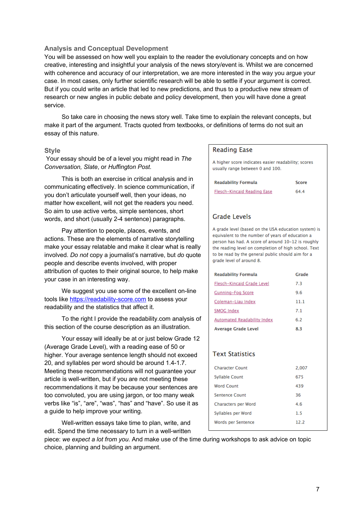#### **Analysis and Conceptual Development**

You will be assessed on how well you explain to the reader the evolutionary concepts and on how creative, interesting and insightful your analysis of the news story/event is. Whilst we are concerned with coherence and accuracy of our interpretation, we are more interested in the way you argue your case. In most cases, only further scientific research will be able to settle if your argument is correct. But if you could write an article that led to new predictions, and thus to a productive new stream of research or new angles in public debate and policy development, then you will have done a great service.

So take care in choosing the news story well. Take time to explain the relevant concepts, but make it part of the argument. Tracts quoted from textbooks, or definitions of terms do not suit an essay of this nature.

#### **Style**

Your essay should be of a level you might read in *The Conversation, Slate*, or *Huffington Post.*

This is both an exercise in critical analysis and in communicating effectively. In science communication, if you don't articulate yourself well, then your ideas, no matter how excellent, will not get the readers you need. So aim to use active verbs, simple sentences, short words, and short (usually 2-4 sentence) paragraphs.

Pay attention to people, places, events, and actions. These are the elements of narrative storytelling make your essay relatable and make it clear what is really involved. *Do not* copy a journalist's narrative, but *do* quote people and describe events involved, with proper attribution of quotes to their original source, to help make your case in an interesting way.

We suggest you use some of the excellent on-line tools like https://readability-score.com to assess your readability and the statistics that affect it.

To the right I provide the readability.com analysis of this section of the course description as an illustration.

Your essay will ideally be at or just below Grade 12 (Average Grade Level), with a reading ease of 50 or higher. Your average sentence length should not exceed 20, and syllables per word should be around 1.4-1.7. Meeting these recommendations will not guarantee your article is well-written, but if you are not meeting these recommendations it may be because your sentences are too convoluted, you are using jargon, or too many weak verbs like "is", "are", "was", "has" and "have". So use it as a guide to help improve your writing.

Well-written essays take time to plan, write, and edit. Spend the time necessary to turn in a well-written

#### **Reading Ease**

A higher score indicates easier readability; scores usually range between 0 and 100.

| <b>Readability Formula</b>  | Score |
|-----------------------------|-------|
| Flesch-Kincaid Reading Ease | 64.4  |

#### **Grade Levels**

A grade level (based on the USA education system) is equivalent to the number of years of education a person has had. A score of around 10-12 is roughly the reading level on completion of high school. Text to be read by the general public should aim for a grade level of around 8.

| <b>Readability Formula</b>         | Grade |
|------------------------------------|-------|
| Flesch-Kincaid Grade Level         | 7.3   |
| <b>Gunning-Fog Score</b>           | 9.6   |
| Coleman-Liau Index                 | 11.1  |
| <b>SMOG Index</b>                  | 7.1   |
| <b>Automated Readability Index</b> | 6.2   |
| <b>Average Grade Level</b>         | 8.3   |
|                                    |       |
|                                    |       |
| <b>Text Statistics</b>             |       |
| <b>Character Count</b>             | 2,007 |
| <b>Syllable Count</b>              | 675   |
| <b>Word Count</b>                  | 439   |
| Sentence Count                     | 36    |
| Characters per Word                | 4.6   |
| Syllables per Word                 | 1.5   |
| Words per Sentence                 | 12.2  |

piece: *we expect a lot from you*. And make use of the time during workshops to ask advice on topic choice, planning and building an argument.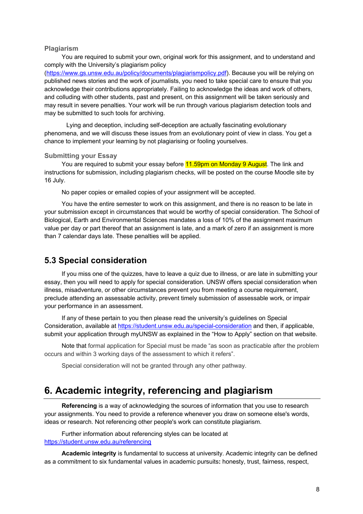#### **Plagiarism**

You are required to submit your own, original work for this assignment, and to understand and comply with the University's plagiarism policy

(https://www.gs.unsw.edu.au/policy/documents/plagiarismpolicy.pdf). Because you will be relying on published news stories and the work of journalists, you need to take special care to ensure that you acknowledge their contributions appropriately. Failing to acknowledge the ideas and work of others, and colluding with other students, past and present, on this assignment will be taken seriously and may result in severe penalties. Your work will be run through various plagiarism detection tools and may be submitted to such tools for archiving.

Lying and deception, including self-deception are actually fascinating evolutionary phenomena, and we will discuss these issues from an evolutionary point of view in class. You get a chance to implement your learning by not plagiarising or fooling yourselves.

#### **Submitting your Essay**

You are required to submit your essay before 11.59pm on Monday 9 August. The link and instructions for submission, including plagiarism checks, will be posted on the course Moodle site by 16 July.

No paper copies or emailed copies of your assignment will be accepted.

You have the entire semester to work on this assignment, and there is no reason to be late in your submission except in circumstances that would be worthy of special consideration. The School of Biological, Earth and Environmental Sciences mandates a loss of 10% of the assignment maximum value per day or part thereof that an assignment is late, and a mark of zero if an assignment is more than 7 calendar days late. These penalties will be applied.

#### **5.3 Special consideration**

If you miss one of the quizzes, have to leave a quiz due to illness, or are late in submitting your essay, then you will need to apply for special consideration. UNSW offers special consideration when illness, misadventure, or other circumstances prevent you from meeting a course requirement, preclude attending an assessable activity, prevent timely submission of assessable work, or impair your performance in an assessment.

If any of these pertain to you then please read the university's guidelines on Special Consideration, available at https://student.unsw.edu.au/special-consideration and then, if applicable, submit your application through myUNSW as explained in the "How to Apply" section on that website.

Note that formal application for Special must be made "as soon as practicable after the problem occurs and within 3 working days of the assessment to which it refers".

Special consideration will not be granted through any other pathway.

## **6. Academic integrity, referencing and plagiarism**

**Referencing** is a way of acknowledging the sources of information that you use to research your assignments. You need to provide a reference whenever you draw on someone else's words, ideas or research. Not referencing other people's work can constitute plagiarism.

Further information about referencing styles can be located at https://student.unsw.edu.au/referencing

**Academic integrity** is fundamental to success at university. Academic integrity can be defined as a commitment to six fundamental values in academic pursuits**:** honesty, trust, fairness, respect,